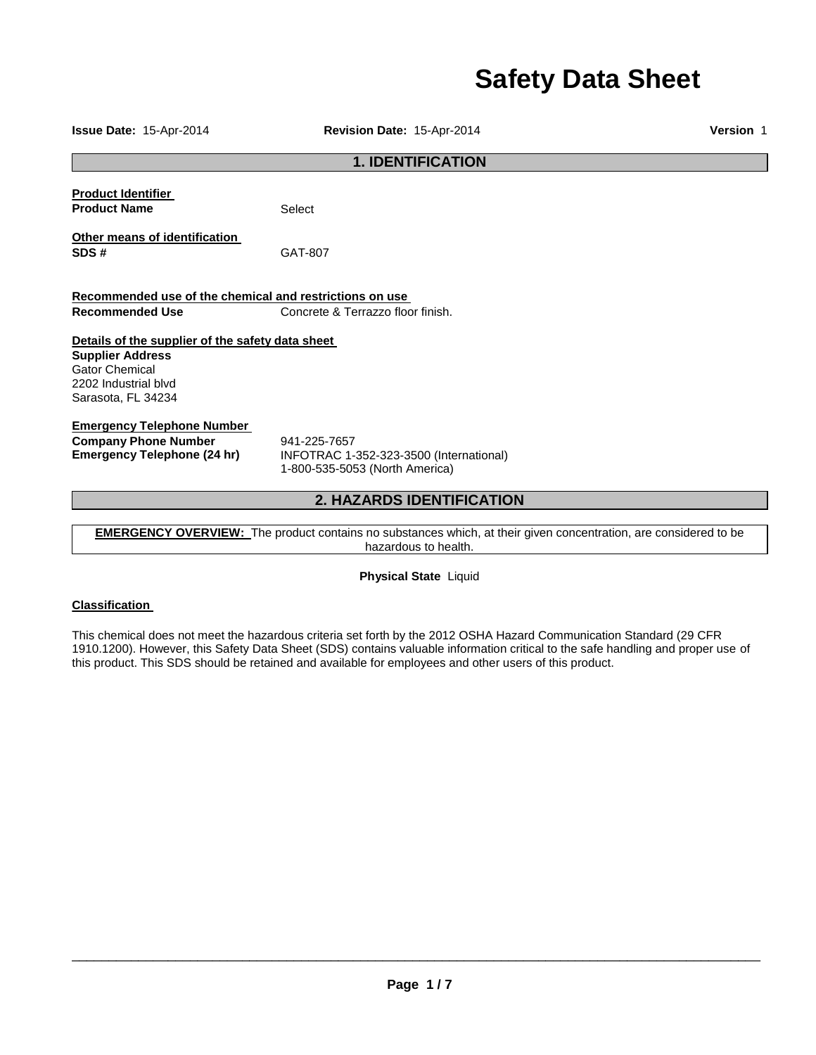# **Safety Data Sheet**

**Issue Date:** 15-Apr-2014 **Revision Date:** 15-Apr-2014 **Version** 1 **1. IDENTIFICATION Product Identifier Product Name Select Other means of identification SDS #** GAT-807 **Recommended use of the chemical and restrictions on use Recommended Use Concrete & Terrazzo floor finish. Details of the supplier of the safety data sheet Supplier Address** Gator Chemical 2202 Industrial blvd Sarasota, FL 34234 **Emergency Telephone Number Company Phone Number** 941-225-7657<br>**Emergency Telephone (24 hr)** INFOTRAC 1-**Emergency Telephone (24 hr)** INFOTRAC 1-352-323-3500 (International) 1-800-535-5053 (North America) **2. HAZARDS IDENTIFICATION** 

**EMERGENCY OVERVIEW:** The product contains no substances which, at their given concentration, are considered to be hazardous to health.

**Physical State** Liquid

## **Classification**

This chemical does not meet the hazardous criteria set forth by the 2012 OSHA Hazard Communication Standard (29 CFR 1910.1200). However, this Safety Data Sheet (SDS) contains valuable information critical to the safe handling and proper use of this product. This SDS should be retained and available for employees and other users of this product.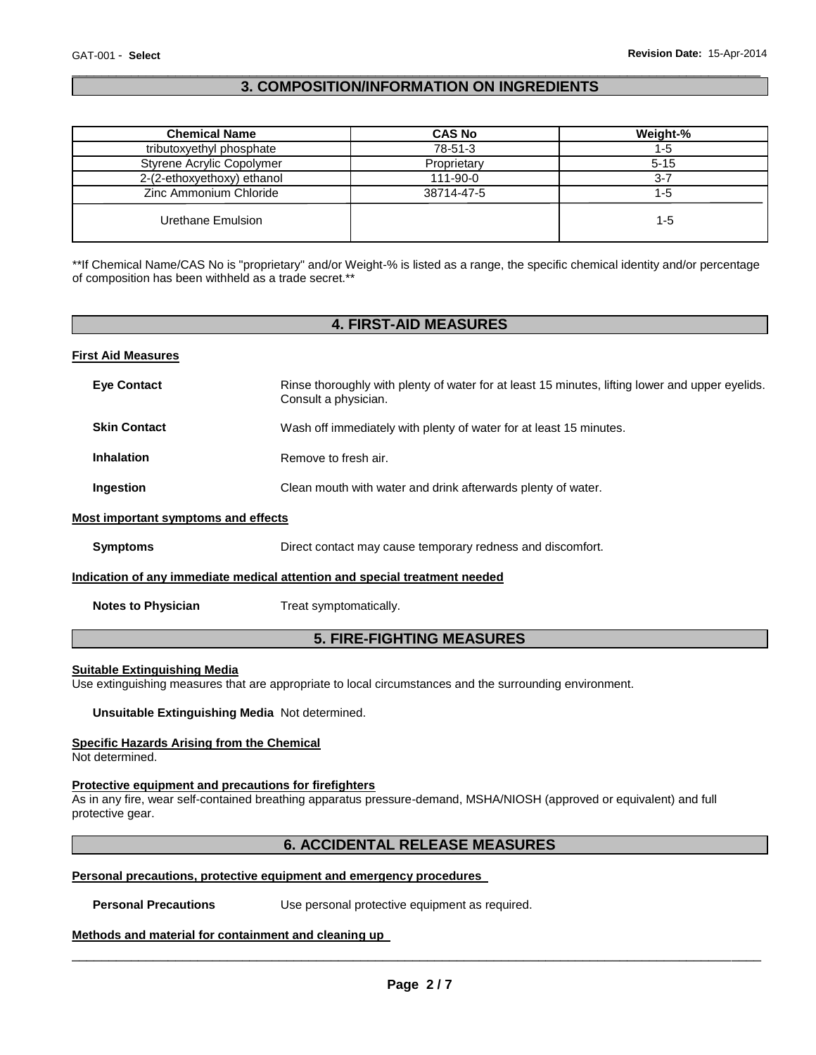## \_\_\_\_\_\_\_\_\_\_\_\_\_\_\_\_\_\_\_\_\_\_\_\_\_\_\_\_\_\_\_\_\_\_\_\_\_\_\_\_\_\_\_\_\_\_\_\_\_\_\_\_\_\_\_\_\_\_\_\_\_\_\_\_\_\_\_\_\_\_\_\_\_\_\_\_\_\_\_\_\_\_\_\_\_\_\_\_\_\_\_\_\_ **3. COMPOSITION/INFORMATION ON INGREDIENTS**

| <b>Chemical Name</b>       | <b>CAS No</b> | Weight-% |
|----------------------------|---------------|----------|
| tributoxyethyl phosphate   | 78-51-3       | 1-5      |
| Styrene Acrylic Copolymer  | Proprietary   | $5 - 15$ |
| 2-(2-ethoxyethoxy) ethanol | 111-90-0      | $3 - 7$  |
| Zinc Ammonium Chloride     | 38714-47-5    | $1 - 5$  |
| Urethane Emulsion          |               | 1-5      |

\*\*If Chemical Name/CAS No is "proprietary" and/or Weight-% is listed as a range, the specific chemical identity and/or percentage of composition has been withheld as a trade secret.\*\*

# **4. FIRST-AID MEASURES**

#### **First Aid Measures**

| <b>Eye Contact</b>                  | Rinse thoroughly with plenty of water for at least 15 minutes, lifting lower and upper eyelids.<br>Consult a physician. |
|-------------------------------------|-------------------------------------------------------------------------------------------------------------------------|
| <b>Skin Contact</b>                 | Wash off immediately with plenty of water for at least 15 minutes.                                                      |
| <b>Inhalation</b>                   | Remove to fresh air.                                                                                                    |
| Ingestion                           | Clean mouth with water and drink afterwards plenty of water.                                                            |
| Most important symptoms and effects |                                                                                                                         |
| <b>Symptoms</b>                     | Direct contact may cause temporary redness and discomfort.                                                              |
|                                     | Indication of any immediate medical attention and special treatment needed                                              |
| <b>Notes to Physician</b>           | Treat symptomatically.                                                                                                  |

# **5. FIRE-FIGHTING MEASURES**

#### **Suitable Extinguishing Media**

Use extinguishing measures that are appropriate to local circumstances and the surrounding environment.

**Unsuitable Extinguishing Media** Not determined.

## **Specific Hazards Arising from the Chemical**

Not determined.

# **Protective equipment and precautions for firefighters**

As in any fire, wear self-contained breathing apparatus pressure-demand, MSHA/NIOSH (approved or equivalent) and full protective gear.

# **6. ACCIDENTAL RELEASE MEASURES**

#### **Personal precautions, protective equipment and emergency procedures**

**Personal Precautions Use personal protective equipment as required.** 

#### **Methods and material for containment and cleaning up**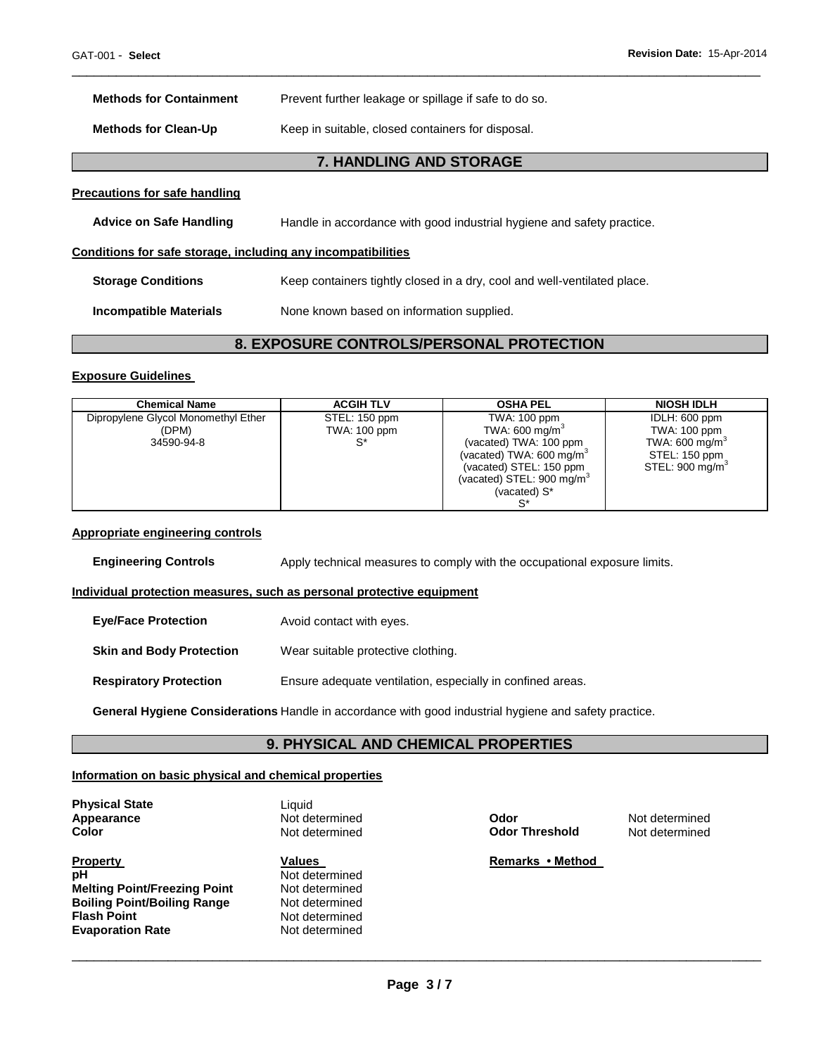L

| <b>Methods for Containment</b>                               | Prevent further leakage or spillage if safe to do so.                    |
|--------------------------------------------------------------|--------------------------------------------------------------------------|
| <b>Methods for Clean-Up</b>                                  | Keep in suitable, closed containers for disposal.                        |
|                                                              | 7. HANDLING AND STORAGE                                                  |
| <b>Precautions for safe handling</b>                         |                                                                          |
| <b>Advice on Safe Handling</b>                               | Handle in accordance with good industrial hygiene and safety practice.   |
| Conditions for safe storage, including any incompatibilities |                                                                          |
| <b>Storage Conditions</b>                                    | Keep containers tightly closed in a dry, cool and well-ventilated place. |
| <b>Incompatible Materials</b>                                | None known based on information supplied.                                |
|                                                              |                                                                          |

# **8. EXPOSURE CONTROLS/PERSONAL PROTECTION**

\_\_\_\_\_\_\_\_\_\_\_\_\_\_\_\_\_\_\_\_\_\_\_\_\_\_\_\_\_\_\_\_\_\_\_\_\_\_\_\_\_\_\_\_\_\_\_\_\_\_\_\_\_\_\_\_\_\_\_\_\_\_\_\_\_\_\_\_\_\_\_\_\_\_\_\_\_\_\_\_\_\_\_\_\_\_\_\_\_\_\_\_\_

#### **Exposure Guidelines**

| <b>Chemical Name</b>                | <b>ACGIH TLV</b> | <b>OSHA PEL</b>                      | <b>NIOSH IDLH</b>           |
|-------------------------------------|------------------|--------------------------------------|-----------------------------|
| Dipropylene Glycol Monomethyl Ether | STEL: 150 ppm    | TWA: 100 ppm                         | IDLH: 600 ppm               |
| (DPM)                               | TWA: 100 ppm     | TWA: 600 mg/m $^{\circ}$             | TWA: 100 ppm                |
| 34590-94-8                          |                  | (vacated) TWA: 100 ppm               | TWA: 600 mg/m <sup>3</sup>  |
|                                     |                  | (vacated) TWA: 600 mg/m <sup>3</sup> | STEL: 150 ppm               |
|                                     |                  | (vacated) STEL: 150 ppm              | STEL: 900 mg/m <sup>3</sup> |
|                                     |                  | (vacated) STEL: 900 mg/m $3$         |                             |
|                                     |                  | (vacated) S*                         |                             |
|                                     |                  |                                      |                             |

#### **Appropriate engineering controls**

**Engineering Controls Apply technical measures to comply with the occupational exposure limits.** 

## **Individual protection measures, such as personal protective equipment**

| <b>Eye/Face Protection</b>      | Avoid contact with eyes.                                   |
|---------------------------------|------------------------------------------------------------|
| <b>Skin and Body Protection</b> | Wear suitable protective clothing.                         |
| <b>Respiratory Protection</b>   | Ensure adequate ventilation, especially in confined areas. |

**General Hygiene Considerations** Handle in accordance with good industrial hygiene and safety practice.

## **9. PHYSICAL AND CHEMICAL PROPERTIES**

#### **Information on basic physical and chemical properties**

**Physical State Contract Exercise State Contract Exercise State Liquid Appearance Appearance Not determined Odor Metallistic Metallistic Metallistic Metallistic Metallistic Color <b>Color Color Not determined Color Color Not determined Color Not determined Color Not determined Col** 

**Property Construction Values Construction Values Remarks • Method pH** Not determined<br> **Melting Point/Freezing Point** Not determined **Melting Point/Freezing Point Mot determined Boiling Point/Boiling Range Mot determined Boiling Point/Boiling Range<br>Flash Point Evaporation Rate** 

**Not determined**<br>Not determined

**Odor Threshold**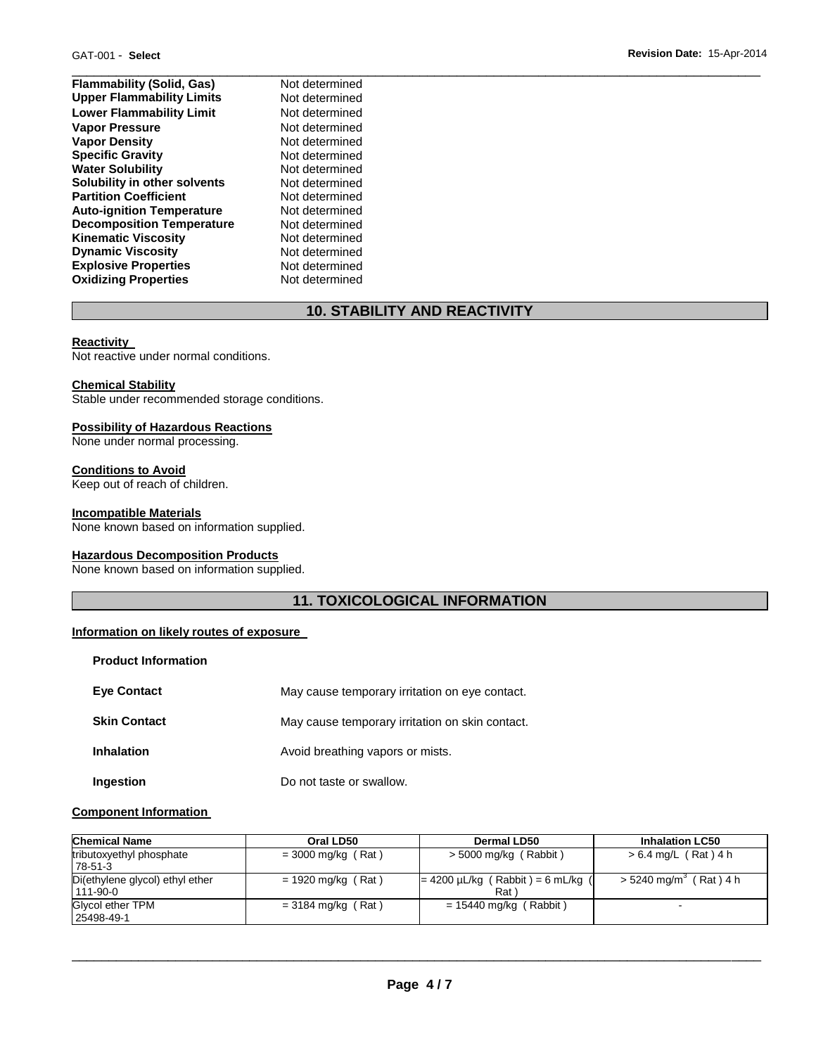| <b>Flammability (Solid, Gas)</b> | Not determined |
|----------------------------------|----------------|
| <b>Upper Flammability Limits</b> | Not determined |
| <b>Lower Flammability Limit</b>  | Not determined |
| <b>Vapor Pressure</b>            | Not determined |
| <b>Vapor Density</b>             | Not determined |
| <b>Specific Gravity</b>          | Not determined |
| <b>Water Solubility</b>          | Not determined |
| Solubility in other solvents     | Not determined |
| <b>Partition Coefficient</b>     | Not determined |
| <b>Auto-ignition Temperature</b> | Not determined |
| <b>Decomposition Temperature</b> | Not determined |
| <b>Kinematic Viscosity</b>       | Not determined |
| <b>Dynamic Viscosity</b>         | Not determined |
| <b>Explosive Properties</b>      | Not determined |
| <b>Oxidizing Properties</b>      | Not determined |

# **10. STABILITY AND REACTIVITY**

#### **Reactivity**

Not reactive under normal conditions.

#### **Chemical Stability**

Stable under recommended storage conditions.

#### **Possibility of Hazardous Reactions**

None under normal processing.

#### **Conditions to Avoid**

Keep out of reach of children.

#### **Incompatible Materials**

None known based on information supplied.

## **Hazardous Decomposition Products**

None known based on information supplied.

# **11. TOXICOLOGICAL INFORMATION**

#### **Information on likely routes of exposure**

| <b>Product Information</b> |                                                 |
|----------------------------|-------------------------------------------------|
| <b>Eve Contact</b>         | May cause temporary irritation on eye contact.  |
| <b>Skin Contact</b>        | May cause temporary irritation on skin contact. |
| <b>Inhalation</b>          | Avoid breathing vapors or mists.                |
| Ingestion                  | Do not taste or swallow.                        |

#### **Component Information**

| <b>Chemical Name</b>                              | Oral LD50            | <b>Dermal LD50</b>                                         | <b>Inhalation LC50</b>               |
|---------------------------------------------------|----------------------|------------------------------------------------------------|--------------------------------------|
| tributoxyethyl phosphate<br>78-51-3               | $=$ 3000 mg/kg (Rat) | $>$ 5000 mg/kg (Rabbit)                                    | $> 6.4$ mg/L (Rat) 4 h               |
| Di(ethylene glycol) ethyl ether<br>$111 - 90 - 0$ | $= 1920$ mg/kg (Rat) | $= 4200 \mu L/kg$ (Rabbit) = 6 mL/kg (<br>Rat <sup>'</sup> | $>$ 5240 mg/m <sup>3</sup> (Rat) 4 h |
| Glycol ether TPM<br>25498-49-1                    | $=$ 3184 mg/kg (Rat) | $= 15440$ mg/kg (Rabbit)                                   | $\sim$                               |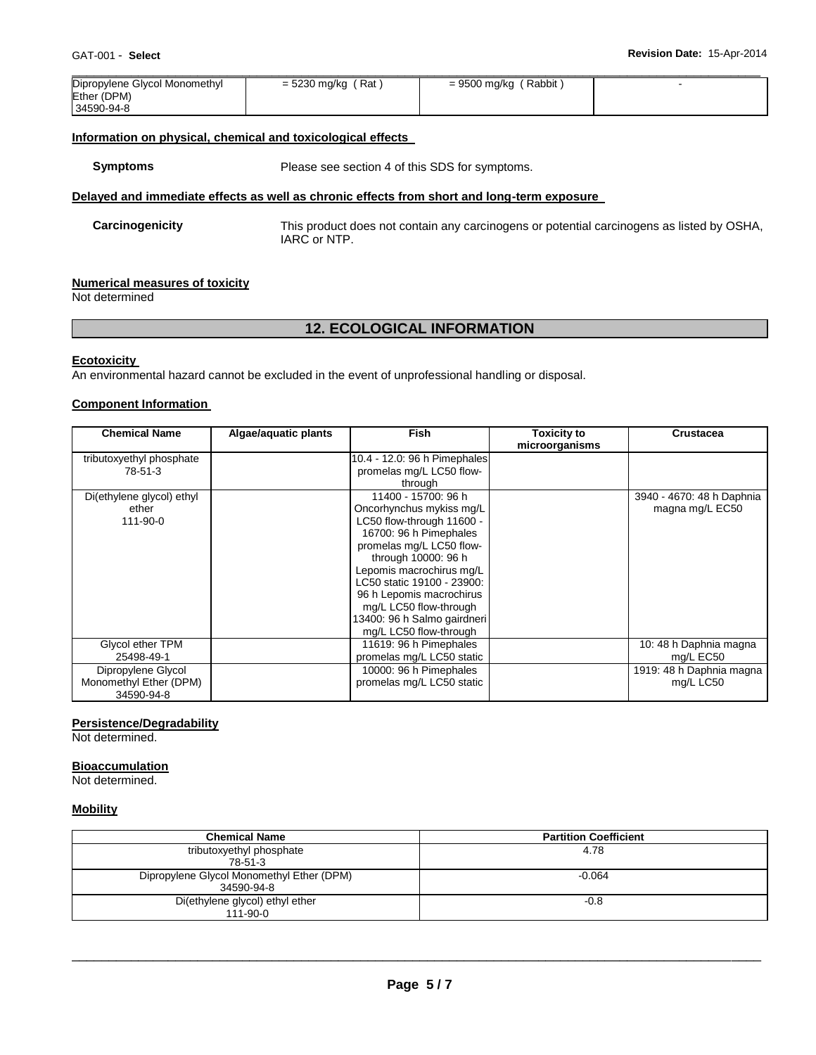| Dipropylene Glycol Monomethyl | = 5230 mg/kg (Rat) | = 9500 mg/kg (Rabbit) |  |
|-------------------------------|--------------------|-----------------------|--|
| Ether (DPM)                   |                    |                       |  |
| 34590-94-8                    |                    |                       |  |

## **Information on physical, chemical and toxicological effects**

**Symptoms** Please see section 4 of this SDS for symptoms.

## **Delayed and immediate effects as well as chronic effects from short and long-term exposure**

**Carcinogenicity** This product does not contain any carcinogens or potential carcinogens as listed by OSHA, IARC or NTP.

#### **Numerical measures of toxicity**

Not determined

# **12. ECOLOGICAL INFORMATION**

#### **Ecotoxicity**

An environmental hazard cannot be excluded in the event of unprofessional handling or disposal.

## **Component Information**

| <b>Chemical Name</b>      | Algae/aquatic plants | <b>Fish</b>                  | Toxicity to    | <b>Crustacea</b>          |
|---------------------------|----------------------|------------------------------|----------------|---------------------------|
|                           |                      |                              | microorganisms |                           |
| tributoxyethyl phosphate  |                      | 10.4 - 12.0: 96 h Pimephales |                |                           |
| 78-51-3                   |                      | promelas mg/L LC50 flow-     |                |                           |
|                           |                      | through                      |                |                           |
| Di(ethylene glycol) ethyl |                      | 11400 - 15700: 96 h          |                | 3940 - 4670: 48 h Daphnia |
| ether                     |                      | Oncorhynchus mykiss mg/L     |                | magna mg/L EC50           |
| 111-90-0                  |                      | LC50 flow-through 11600 -    |                |                           |
|                           |                      | 16700: 96 h Pimephales       |                |                           |
|                           |                      | promelas mg/L LC50 flow-     |                |                           |
|                           |                      | through 10000: 96 h          |                |                           |
|                           |                      | Lepomis macrochirus mg/L     |                |                           |
|                           |                      | LC50 static 19100 - 23900:   |                |                           |
|                           |                      | 96 h Lepomis macrochirus     |                |                           |
|                           |                      | mg/L LC50 flow-through       |                |                           |
|                           |                      | 13400: 96 h Salmo gairdneri  |                |                           |
|                           |                      | mg/L LC50 flow-through       |                |                           |
| Glycol ether TPM          |                      | 11619: 96 h Pimephales       |                | 10: 48 h Daphnia magna    |
| 25498-49-1                |                      | promelas mg/L LC50 static    |                | mg/L EC50                 |
| Dipropylene Glycol        |                      | 10000: 96 h Pimephales       |                | 1919: 48 h Daphnia magna  |
| Monomethyl Ether (DPM)    |                      | promelas mg/L LC50 static    |                | mg/L LC50                 |
| 34590-94-8                |                      |                              |                |                           |

#### **Persistence/Degradability**

Not determined.

#### **Bioaccumulation**

Not determined.

#### **Mobility**

| <b>Chemical Name</b>                      | <b>Partition Coefficient</b> |
|-------------------------------------------|------------------------------|
| tributoxyethyl phosphate                  | 4.78                         |
| 78-51-3                                   |                              |
| Dipropylene Glycol Monomethyl Ether (DPM) | $-0.064$                     |
| 34590-94-8                                |                              |
| Di(ethylene glycol) ethyl ether           | $-0.8$                       |
| $111 - 90 - 0$                            |                              |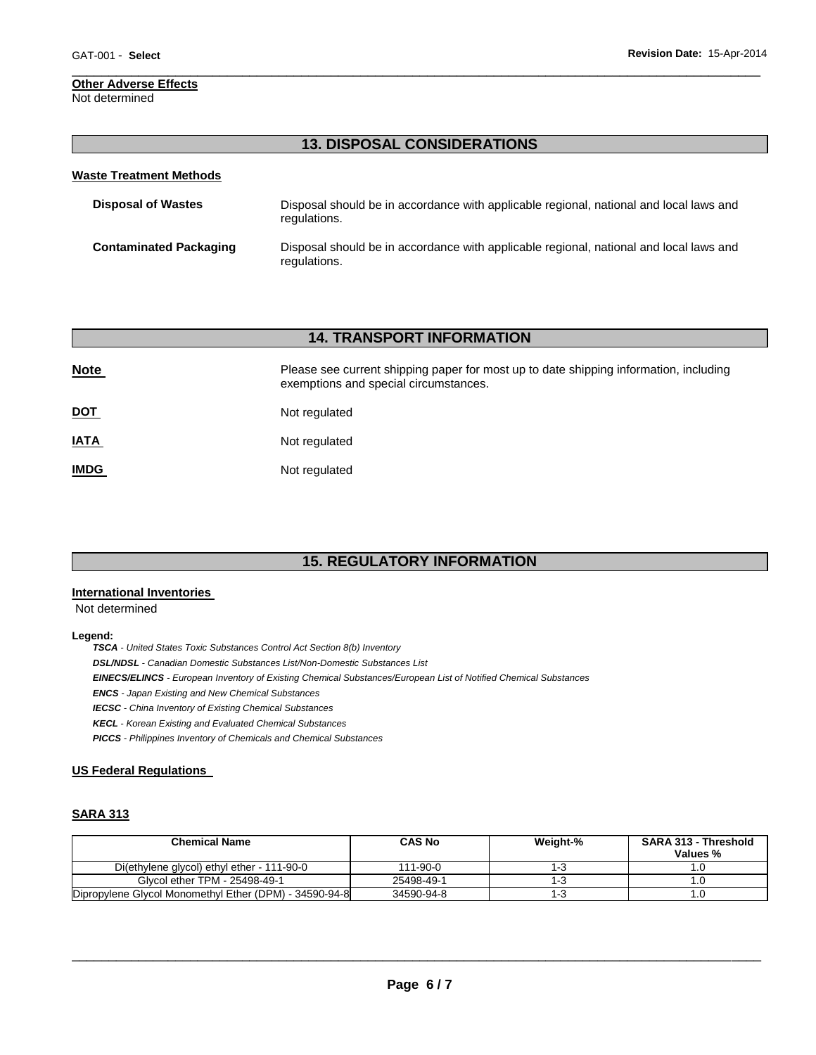# **Other Adverse Effects**

Not determined

# **13. DISPOSAL CONSIDERATIONS**

\_\_\_\_\_\_\_\_\_\_\_\_\_\_\_\_\_\_\_\_\_\_\_\_\_\_\_\_\_\_\_\_\_\_\_\_\_\_\_\_\_\_\_\_\_\_\_\_\_\_\_\_\_\_\_\_\_\_\_\_\_\_\_\_\_\_\_\_\_\_\_\_\_\_\_\_\_\_\_\_\_\_\_\_\_\_\_\_\_\_\_\_\_

| <b>Waste Treatment Methods</b> |                                                                                                        |
|--------------------------------|--------------------------------------------------------------------------------------------------------|
| <b>Disposal of Wastes</b>      | Disposal should be in accordance with applicable regional, national and local laws and<br>regulations. |
| <b>Contaminated Packaging</b>  | Disposal should be in accordance with applicable regional, national and local laws and<br>regulations. |

# **14. TRANSPORT INFORMATION**

| <b>Note</b> | Please see current shipping paper for most up to date shipping information, including<br>exemptions and special circumstances. |
|-------------|--------------------------------------------------------------------------------------------------------------------------------|
| <u>DOT</u>  | Not regulated                                                                                                                  |
| <b>IATA</b> | Not regulated                                                                                                                  |
| <b>IMDG</b> | Not regulated                                                                                                                  |

# **15. REGULATORY INFORMATION**

## **International Inventories**

Not determined

#### **Legend:**

*TSCA - United States Toxic Substances Control Act Section 8(b) Inventory DSL/NDSL - Canadian Domestic Substances List/Non-Domestic Substances List EINECS/ELINCS - European Inventory of Existing Chemical Substances/European List of Notified Chemical Substances ENCS - Japan Existing and New Chemical Substances IECSC - China Inventory of Existing Chemical Substances KECL - Korean Existing and Evaluated Chemical Substances PICCS - Philippines Inventory of Chemicals and Chemical Substances* 

## **US Federal Regulations**

# **SARA 313**

| <b>Chemical Name</b>                                   | <b>CAS No</b>  | Weight-% | <b>SARA 313 - Threshold</b><br>Values % |
|--------------------------------------------------------|----------------|----------|-----------------------------------------|
| Di(ethylene glycol) ethyl ether - 111-90-0             | $111 - 90 - 0$ | ن - ا    |                                         |
| Glycol ether TPM - 25498-49-1                          | 25498-49-1     | ⊩ვ       |                                         |
| Dipropylene Glycol Monomethyl Ether (DPM) - 34590-94-8 | 34590-94-8     | 1-3      |                                         |